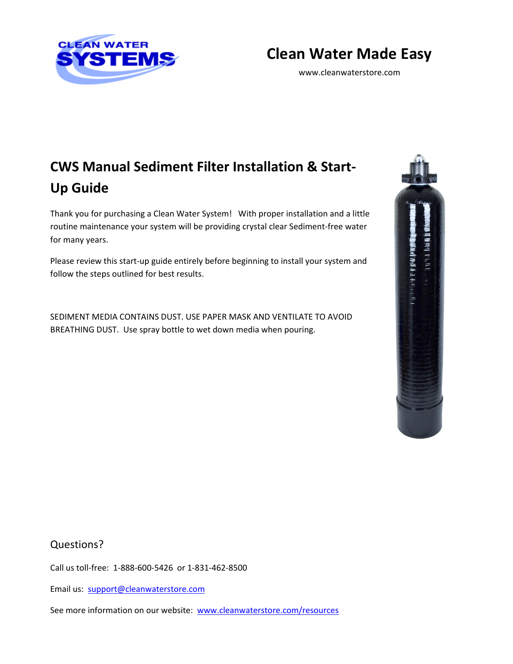

## **Clean Water Made Easy**

www.cleanwaterstore.com

# **CWS Manual Sediment Filter Installation & Start-Up Guide**

Thank you for purchasing a Clean Water System! With proper installation and a little routine maintenance your system will be providing crystal clear Sediment-free water for many years.

Please review this start-up guide entirely before beginning to install your system and follow the steps outlined for best results.

SEDIMENT MEDIA CONTAINS DUST. USE PAPER MASK AND VENTILATE TO AVOID BREATHING DUST. Use spray bottle to wet down media when pouring.



Questions?

Call us toll-free: 1-888-600-5426 or 1-831-462-8500

Email us: [support@cleanwaterstore.com](mailto:support@cleanwaterstore.com)

See more information on our website: [www.cleanwaterstore.com/resources](http://www.cleanwaterstore.com/resources)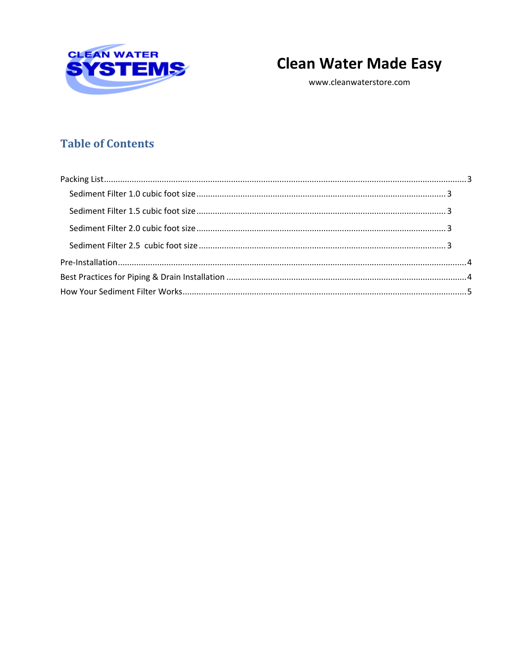

## **Clean Water Made Easy**

www.cleanwaterstore.com

## **Table of Contents**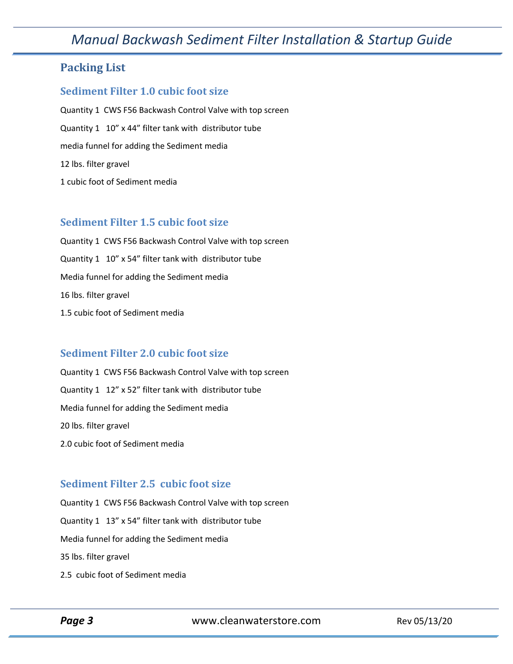## *Manual Backwash Sediment Filter Installation & Startup Guide*

### <span id="page-2-0"></span>**Packing List**

#### <span id="page-2-1"></span>**Sediment Filter 1.0 cubic foot size**

Quantity 1 CWS F56 Backwash Control Valve with top screen Quantity 1 10" x 44" filter tank with distributor tube media funnel for adding the Sediment media 12 lbs. filter gravel 1 cubic foot of Sediment media

#### <span id="page-2-2"></span>**Sediment Filter 1.5 cubic foot size**

Quantity 1 CWS F56 Backwash Control Valve with top screen Quantity 1 10" x 54" filter tank with distributor tube Media funnel for adding the Sediment media 16 lbs. filter gravel 1.5 cubic foot of Sediment media

#### **Sediment Filter 2.0 cubic foot size**

Quantity 1 CWS F56 Backwash Control Valve with top screen Quantity 1 12" x 52" filter tank with distributor tube Media funnel for adding the Sediment media 20 lbs. filter gravel 2.0 cubic foot of Sediment media

#### <span id="page-2-3"></span>**Sediment Filter 2.5 cubic foot size**

Quantity 1 CWS F56 Backwash Control Valve with top screen Quantity 1 13" x 54" filter tank with distributor tube Media funnel for adding the Sediment media 35 lbs. filter gravel 2.5 cubic foot of Sediment media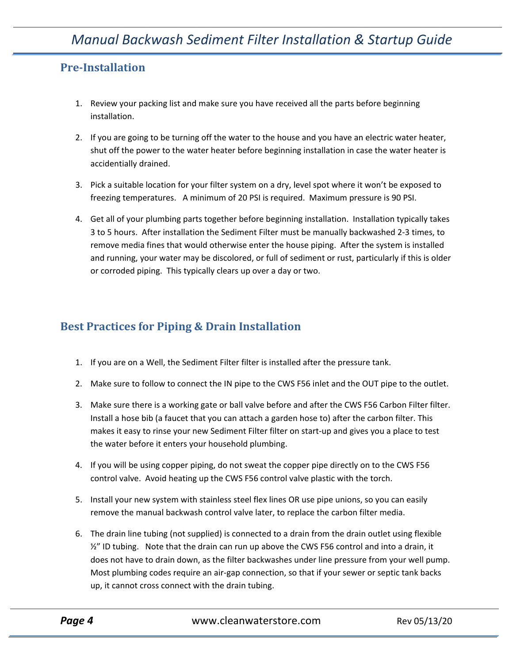## <span id="page-3-0"></span>**Pre-Installation**

- 1. Review your packing list and make sure you have received all the parts before beginning installation.
- 2. If you are going to be turning off the water to the house and you have an electric water heater, shut off the power to the water heater before beginning installation in case the water heater is accidentially drained.
- 3. Pick a suitable location for your filter system on a dry, level spot where it won't be exposed to freezing temperatures. A minimum of 20 PSI is required. Maximum pressure is 90 PSI.
- 4. Get all of your plumbing parts together before beginning installation. Installation typically takes 3 to 5 hours. After installation the Sediment Filter must be manually backwashed 2-3 times, to remove media fines that would otherwise enter the house piping. After the system is installed and running, your water may be discolored, or full of sediment or rust, particularly if this is older or corroded piping. This typically clears up over a day or two.

## <span id="page-3-1"></span>**Best Practices for Piping & Drain Installation**

- 1. If you are on a Well, the Sediment Filter filter is installed after the pressure tank.
- 2. Make sure to follow to connect the IN pipe to the CWS F56 inlet and the OUT pipe to the outlet.
- 3. Make sure there is a working gate or ball valve before and after the CWS F56 Carbon Filter filter. Install a hose bib (a faucet that you can attach a garden hose to) after the carbon filter. This makes it easy to rinse your new Sediment Filter filter on start-up and gives you a place to test the water before it enters your household plumbing.
- 4. If you will be using copper piping, do not sweat the copper pipe directly on to the CWS F56 control valve. Avoid heating up the CWS F56 control valve plastic with the torch.
- 5. Install your new system with stainless steel flex lines OR use pipe unions, so you can easily remove the manual backwash control valve later, to replace the carbon filter media.
- 6. The drain line tubing (not supplied) is connected to a drain from the drain outlet using flexible  $\frac{1}{2}$ " ID tubing. Note that the drain can run up above the CWS F56 control and into a drain, it does not have to drain down, as the filter backwashes under line pressure from your well pump. Most plumbing codes require an air-gap connection, so that if your sewer or septic tank backs up, it cannot cross connect with the drain tubing.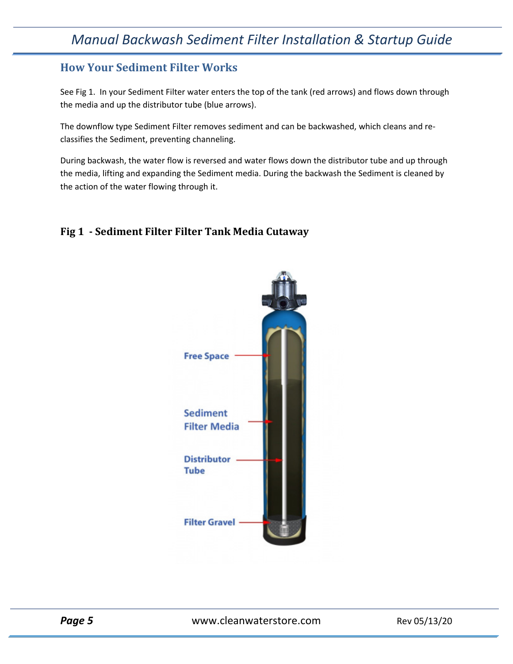## <span id="page-4-0"></span>**How Your Sediment Filter Works**

See Fig 1. In your Sediment Filter water enters the top of the tank (red arrows) and flows down through the media and up the distributor tube (blue arrows).

The downflow type Sediment Filter removes sediment and can be backwashed, which cleans and reclassifies the Sediment, preventing channeling.

During backwash, the water flow is reversed and water flows down the distributor tube and up through the media, lifting and expanding the Sediment media. During the backwash the Sediment is cleaned by the action of the water flowing through it.

### **Fig 1 - Sediment Filter Filter Tank Media Cutaway**



**Page 5** WWW.cleanwaterstore.com Rev 05/13/20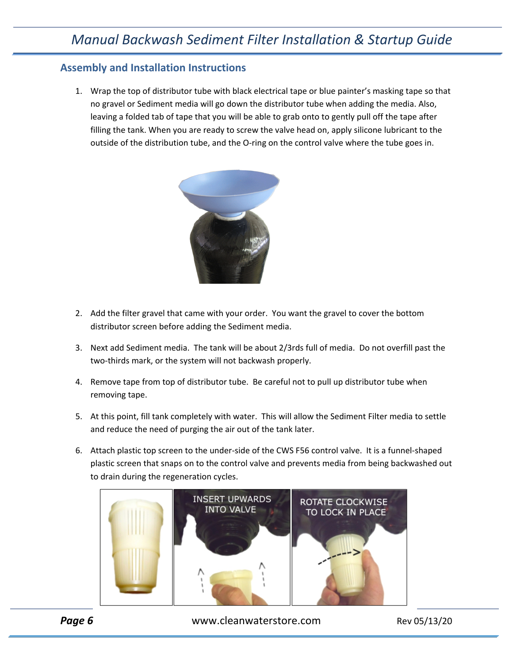#### **Assembly and Installation Instructions**

1. Wrap the top of distributor tube with black electrical tape or blue painter's masking tape so that no gravel or Sediment media will go down the distributor tube when adding the media. Also, leaving a folded tab of tape that you will be able to grab onto to gently pull off the tape after filling the tank. When you are ready to screw the valve head on, apply silicone lubricant to the outside of the distribution tube, and the O-ring on the control valve where the tube goes in.



- 2. Add the filter gravel that came with your order. You want the gravel to cover the bottom distributor screen before adding the Sediment media.
- 3. Next add Sediment media. The tank will be about 2/3rds full of media. Do not overfill past the two-thirds mark, or the system will not backwash properly.
- 4. Remove tape from top of distributor tube. Be careful not to pull up distributor tube when removing tape.
- 5. At this point, fill tank completely with water. This will allow the Sediment Filter media to settle and reduce the need of purging the air out of the tank later.
- 6. Attach plastic top screen to the under-side of the CWS F56 control valve. It is a funnel-shaped plastic screen that snaps on to the control valve and prevents media from being backwashed out to drain during the regeneration cycles.



**Page 6** Www.cleanwaterstore.com Rev 05/13/20